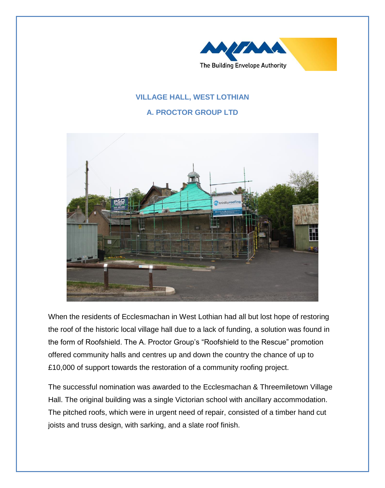

## **VILLAGE HALL, WEST LOTHIAN**

## **A. PROCTOR GROUP LTD**



When the residents of Ecclesmachan in West Lothian had all but lost hope of restoring the roof of the historic local village hall due to a lack of funding, a solution was found in the form of Roofshield. The A. Proctor Group's "Roofshield to the Rescue" promotion offered community halls and centres up and down the country the chance of up to £10,000 of support towards the restoration of a community roofing project.

The successful nomination was awarded to the Ecclesmachan & Threemiletown Village Hall. The original building was a single Victorian school with ancillary accommodation. The pitched roofs, which were in urgent need of repair, consisted of a timber hand cut joists and truss design, with sarking, and a slate roof finish.